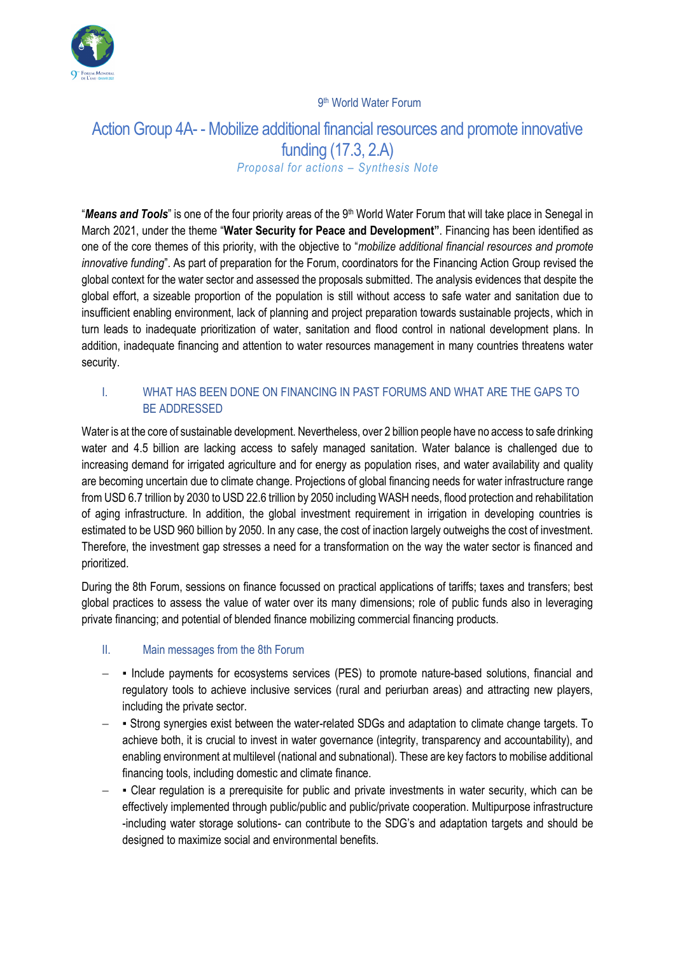

#### 9<sup>th</sup> World Water Forum

# Action Group 4A- - Mobilize additional financial resources and promote innovative funding (17.3, 2.A) *Proposal for actions – Synthesis Note*

"Means and Tools" is one of the four priority areas of the 9<sup>th</sup> World Water Forum that will take place in Senegal in March 2021, under the theme "**Water Security for Peace and Development"**. Financing has been identified as one of the core themes of this priority, with the objective to "*mobilize additional financial resources and promote innovative funding*". As part of preparation for the Forum, coordinators for the Financing Action Group revised the global context for the water sector and assessed the proposals submitted. The analysis evidences that despite the global effort, a sizeable proportion of the population is still without access to safe water and sanitation due to insufficient enabling environment, lack of planning and project preparation towards sustainable projects, which in turn leads to inadequate prioritization of water, sanitation and flood control in national development plans. In addition, inadequate financing and attention to water resources management in many countries threatens water security.

### I. WHAT HAS BEEN DONE ON FINANCING IN PAST FORUMS AND WHAT ARE THE GAPS TO BE ADDRESSED

Water is at the core of sustainable development. Nevertheless, over 2 billion people have no access to safe drinking water and 4.5 billion are lacking access to safely managed sanitation. Water balance is challenged due to increasing demand for irrigated agriculture and for energy as population rises, and water availability and quality are becoming uncertain due to climate change. Projections of global financing needs for water infrastructure range from USD 6.7 trillion by 2030 to USD 22.6 trillion by 2050 including WASH needs, flood protection and rehabilitation of aging infrastructure. In addition, the global investment requirement in irrigation in developing countries is estimated to be USD 960 billion by 2050. In any case, the cost of inaction largely outweighs the cost of investment. Therefore, the investment gap stresses a need for a transformation on the way the water sector is financed and prioritized.

During the 8th Forum, sessions on finance focussed on practical applications of tariffs; taxes and transfers; best global practices to assess the value of water over its many dimensions; role of public funds also in leveraging private financing; and potential of blended finance mobilizing commercial financing products.

### II. Main messages from the 8th Forum

- − Include payments for ecosystems services (PES) to promote nature-based solutions, financial and regulatory tools to achieve inclusive services (rural and periurban areas) and attracting new players, including the private sector.
- − Strong synergies exist between the water-related SDGs and adaptation to climate change targets. To achieve both, it is crucial to invest in water governance (integrity, transparency and accountability), and enabling environment at multilevel (national and subnational). These are key factors to mobilise additional financing tools, including domestic and climate finance.
- − Clear regulation is a prerequisite for public and private investments in water security, which can be effectively implemented through public/public and public/private cooperation. Multipurpose infrastructure -including water storage solutions- can contribute to the SDG's and adaptation targets and should be designed to maximize social and environmental benefits.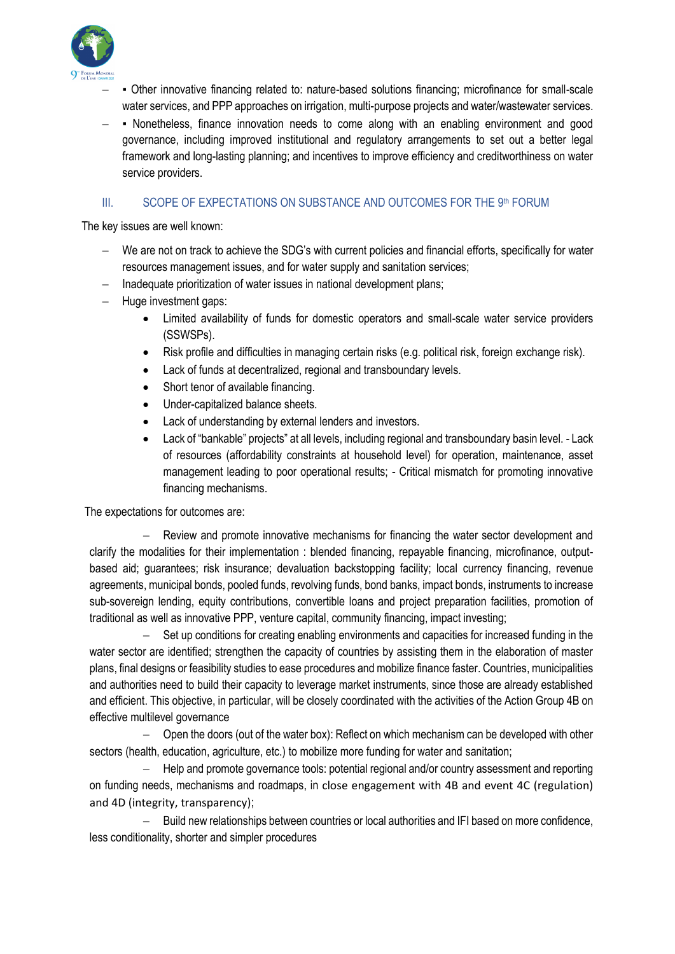

- − Other innovative financing related to: nature-based solutions financing; microfinance for small-scale water services, and PPP approaches on irrigation, multi-purpose projects and water/wastewater services.
- − Nonetheless, finance innovation needs to come along with an enabling environment and good governance, including improved institutional and regulatory arrangements to set out a better legal framework and long-lasting planning; and incentives to improve efficiency and creditworthiness on water service providers.

#### III. SCOPE OF EXPECTATIONS ON SUBSTANCE AND OUTCOMES FOR THE 9th FORUM

The key issues are well known:

- We are not on track to achieve the SDG's with current policies and financial efforts, specifically for water resources management issues, and for water supply and sanitation services;
- − Inadequate prioritization of water issues in national development plans;
- − Huge investment gaps:
	- Limited availability of funds for domestic operators and small-scale water service providers (SSWSPs).
	- Risk profile and difficulties in managing certain risks (e.g. political risk, foreign exchange risk).
	- Lack of funds at decentralized, regional and transboundary levels.
	- Short tenor of available financing.
	- Under-capitalized balance sheets.
	- Lack of understanding by external lenders and investors.
	- Lack of "bankable" projects" at all levels, including regional and transboundary basin level. Lack of resources (affordability constraints at household level) for operation, maintenance, asset management leading to poor operational results; - Critical mismatch for promoting innovative financing mechanisms.

The expectations for outcomes are:

Review and promote innovative mechanisms for financing the water sector development and clarify the modalities for their implementation : blended financing, repayable financing, microfinance, outputbased aid; guarantees; risk insurance; devaluation backstopping facility; local currency financing, revenue agreements, municipal bonds, pooled funds, revolving funds, bond banks, impact bonds, instruments to increase sub-sovereign lending, equity contributions, convertible loans and project preparation facilities, promotion of traditional as well as innovative PPP, venture capital, community financing, impact investing;

Set up conditions for creating enabling environments and capacities for increased funding in the water sector are identified; strengthen the capacity of countries by assisting them in the elaboration of master plans, final designs or feasibility studies to ease procedures and mobilize finance faster. Countries, municipalities and authorities need to build their capacity to leverage market instruments, since those are already established and efficient. This objective, in particular, will be closely coordinated with the activities of the Action Group 4B on effective multilevel governance

− Open the doors (out of the water box): Reflect on which mechanism can be developed with other sectors (health, education, agriculture, etc.) to mobilize more funding for water and sanitation;

− Help and promote governance tools: potential regional and/or country assessment and reporting on funding needs, mechanisms and roadmaps, in close engagement with 4B and event 4C (regulation) and 4D (integrity, transparency);

− Build new relationships between countries or local authorities and IFI based on more confidence, less conditionality, shorter and simpler procedures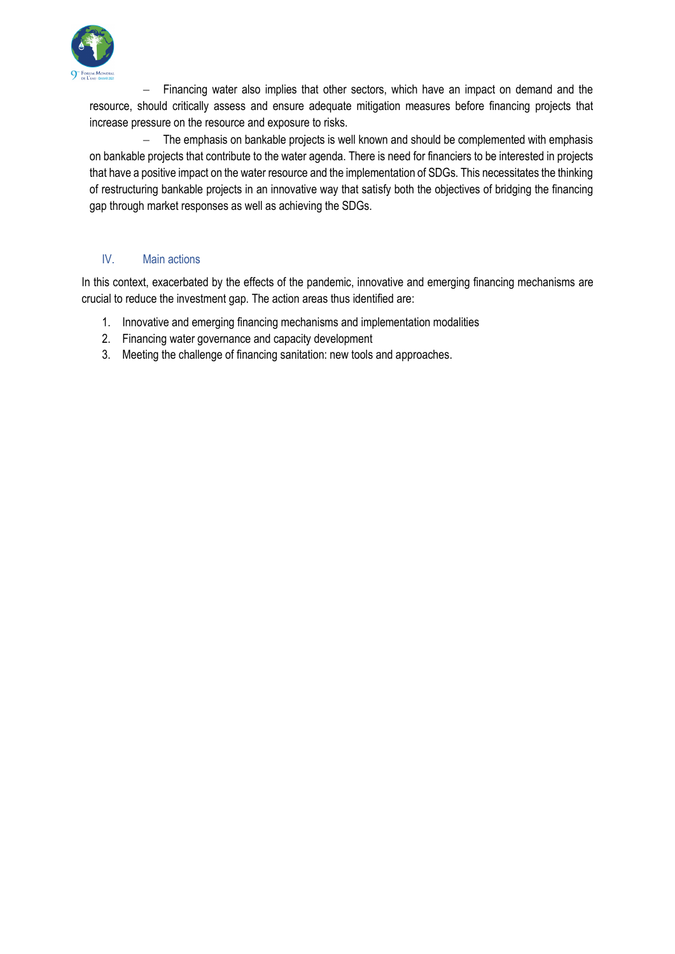

− Financing water also implies that other sectors, which have an impact on demand and the resource, should critically assess and ensure adequate mitigation measures before financing projects that increase pressure on the resource and exposure to risks.

− The emphasis on bankable projects is well known and should be complemented with emphasis on bankable projects that contribute to the water agenda. There is need for financiers to be interested in projects that have a positive impact on the water resource and the implementation of SDGs. This necessitates the thinking of restructuring bankable projects in an innovative way that satisfy both the objectives of bridging the financing gap through market responses as well as achieving the SDGs.

#### IV. Main actions

In this context, exacerbated by the effects of the pandemic, innovative and emerging financing mechanisms are crucial to reduce the investment gap. The action areas thus identified are:

- 1. Innovative and emerging financing mechanisms and implementation modalities
- 2. Financing water governance and capacity development
- 3. Meeting the challenge of financing sanitation: new tools and approaches.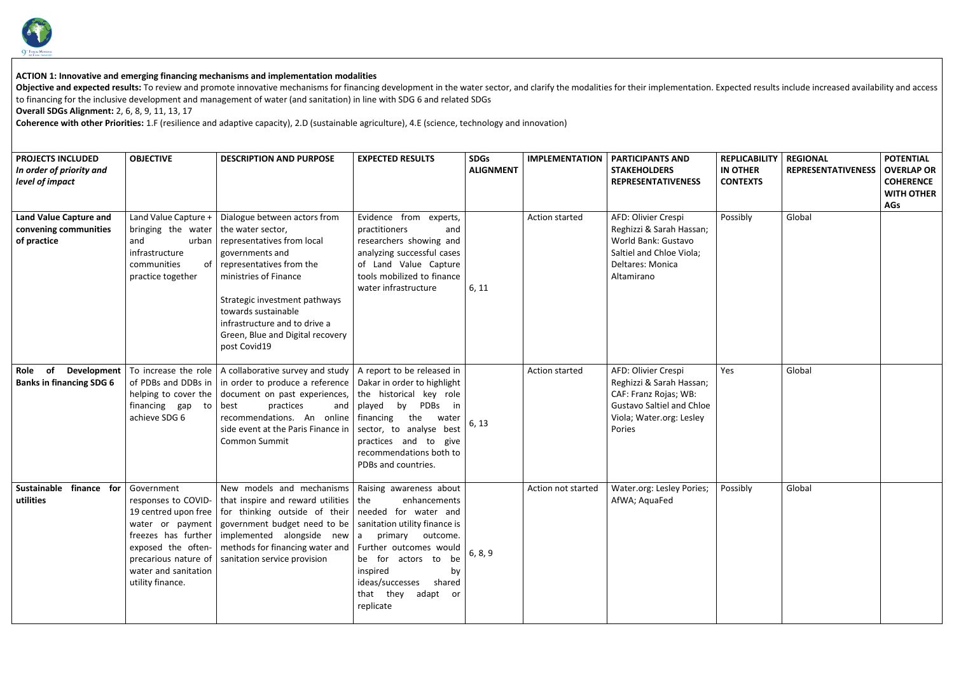

## **ACTION 1: Innovative and emerging financing mechanisms and implementation modalities**

Objective and expected results: To review and promote innovative mechanisms for financing development in the water sector, and clarify the modalities for their implementation. Ex to financing for the inclusive development and management of water (and sanitation) in line with SDG 6 and related SDGs

**Overall SDGs Alignment:** 2, 6, 8, 9, 11, 13, 17

**Coherence with other Priorities:** 1.F (resilience and adaptive capacity), 2.D (sustainable agriculture), 4.E (science, technology and innovation)

| <b>PROJECTS INCLUDED</b><br>In order of priority and<br>level of impact | <b>OBJECTIVE</b>                                                                                                       | <b>DESCRIPTION AND PURPOSE</b>                                                                                                                                                                                                                                                                                                                                                                                                                                       | <b>EXPECTED RESULTS</b>                                                                                                                                                                                                                                                | <b>SDGs</b><br><b>ALIGNMENT</b> | <b>IMPLEMENTATION</b> | <b>PARTICIPANTS AND</b><br><b>STAKEHOLDERS</b><br><b>REPRESENTATIVENESS</b>                                                                        | <b>REPLICABILITY</b><br><b>IN OTHER</b><br><b>CONTEXTS</b> | <b>REGIONAL</b><br><b>REPRESENTATIVENESS</b> | <b>POTENTIAL</b><br><b>OVERLAP OR</b><br><b>COHERENCE</b><br><b>WITH OTHER</b><br><b>AGs</b> |
|-------------------------------------------------------------------------|------------------------------------------------------------------------------------------------------------------------|----------------------------------------------------------------------------------------------------------------------------------------------------------------------------------------------------------------------------------------------------------------------------------------------------------------------------------------------------------------------------------------------------------------------------------------------------------------------|------------------------------------------------------------------------------------------------------------------------------------------------------------------------------------------------------------------------------------------------------------------------|---------------------------------|-----------------------|----------------------------------------------------------------------------------------------------------------------------------------------------|------------------------------------------------------------|----------------------------------------------|----------------------------------------------------------------------------------------------|
| <b>Land Value Capture and</b><br>convening communities<br>of practice   | Land Value Capture +<br>bringing the water<br>urban<br>and<br>infrastructure<br>communities<br>οf<br>practice together | Dialogue between actors from<br>the water sector,<br>representatives from local<br>governments and<br>representatives from the<br>ministries of Finance<br>Strategic investment pathways<br>towards sustainable<br>infrastructure and to drive a<br>Green, Blue and Digital recovery<br>post Covid19                                                                                                                                                                 | Evidence from experts,<br>practitioners<br>and<br>researchers showing and<br>analyzing successful cases<br>of Land Value Capture<br>tools mobilized to finance<br>water infrastructure                                                                                 | 6, 11                           | Action started        | AFD: Olivier Crespi<br>Reghizzi & Sarah Hassan;<br>World Bank: Gustavo<br>Saltiel and Chloe Viola;<br>Deltares: Monica<br>Altamirano               | Possibly                                                   | Global                                       |                                                                                              |
| Development<br>of<br>Role<br><b>Banks in financing SDG 6</b>            | To increase the role<br>of PDBs and DDBs in<br>helping to cover the<br>financing gap to<br>achieve SDG 6               | A collaborative survey and study<br>in order to produce a reference<br>document on past experiences,<br>best<br>practices<br>and<br>recommendations. An online<br>side event at the Paris Finance in<br><b>Common Summit</b>                                                                                                                                                                                                                                         | A report to be released in<br>Dakar in order to highlight<br>the historical key role<br>PDBs<br>played<br>by<br>$\mathsf{in}$<br>financing<br>the<br>water<br>sector, to analyse<br>best<br>practices and to<br>give<br>recommendations both to<br>PDBs and countries. | 6, 13                           | Action started        | AFD: Olivier Crespi<br>Reghizzi & Sarah Hassan;<br>CAF: Franz Rojas; WB:<br><b>Gustavo Saltiel and Chloe</b><br>Viola; Water.org: Lesley<br>Pories | Yes                                                        | Global                                       |                                                                                              |
| finance<br><b>Sustainable</b><br>for<br>utilities                       | Government<br>exposed the often-<br>water and sanitation<br>utility finance.                                           | New models and mechanisms   Raising awareness about<br>responses to COVID-   that inspire and reward utilities $\vert$ the<br>19 centred upon free   for thinking outside of their   needed for water and<br>water or payment   government budget need to be   sanitation utility finance is<br>freezes has further implemented alongside new $ a $ primary outcome.<br>methods for financing water and<br>precarious nature of $\vert$ sanitation service provision | enhancements<br>Further outcomes would<br>be for actors to be<br>inspired<br>by<br>ideas/successes shared<br>that they<br>adapt or<br>replicate                                                                                                                        | 6, 8, 9                         | Action not started    | Water.org: Lesley Pories;<br>AfWA; AquaFed                                                                                                         | Possibly                                                   | Global                                       |                                                                                              |

| xpected results include increased availability and access |  |
|-----------------------------------------------------------|--|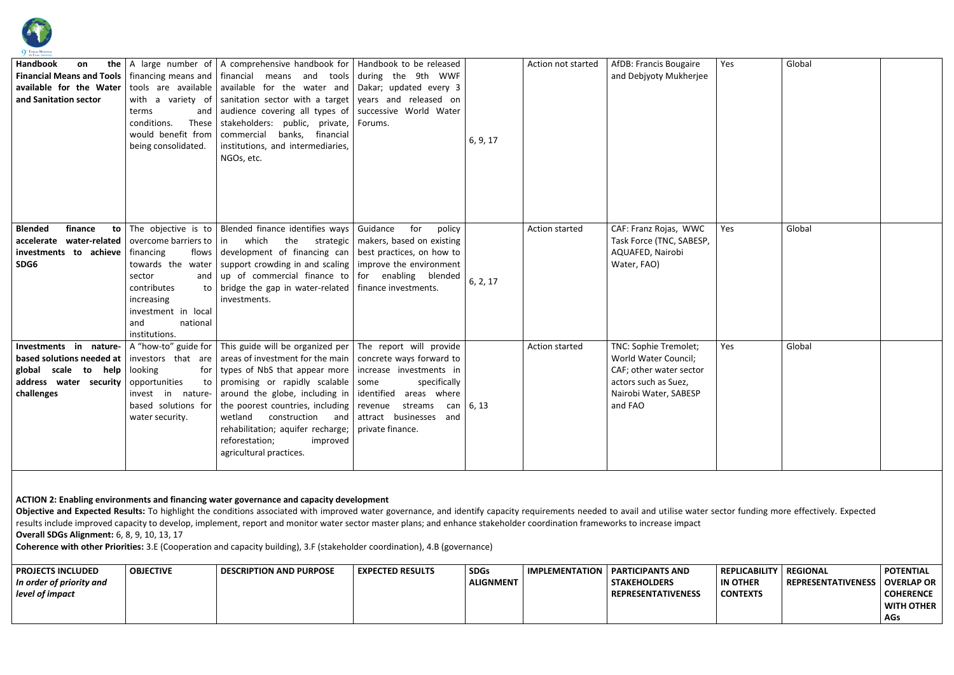

| Handbook<br>on<br>and Sanitation sector                                                                                                                                                                                                                                                                                                                                                                                                                                                                                                                                                                                                                                           | terms<br>conditions.<br>These<br>would benefit from<br>being consolidated.                                                 | <b>the</b> $\vert$ A large number of $\vert$ A comprehensive handbook for $\vert$ Handbook to be released<br><b>Financial Means and Tools</b>   financing means and   financial means and tools   during the 9th WWF<br><b>available for the Water</b> $ $ tools are available $ $ available for the water and $ $ Dakar; updated every 3<br>with a variety of sanitation sector with a target vears and released on<br>and audience covering all types of successive World Water<br>stakeholders: public, private,<br>commercial<br>banks, financial<br>institutions, and intermediaries,<br>NGOs, etc.                                                                          | Forums.                                                    | 6, 9, 17                        | Action not started    | AfDB: Francis Bougaire<br>and Debjyoty Mukherjee                                                                                     | Yes                                                        | Global                                       |                                                                                       |
|-----------------------------------------------------------------------------------------------------------------------------------------------------------------------------------------------------------------------------------------------------------------------------------------------------------------------------------------------------------------------------------------------------------------------------------------------------------------------------------------------------------------------------------------------------------------------------------------------------------------------------------------------------------------------------------|----------------------------------------------------------------------------------------------------------------------------|-----------------------------------------------------------------------------------------------------------------------------------------------------------------------------------------------------------------------------------------------------------------------------------------------------------------------------------------------------------------------------------------------------------------------------------------------------------------------------------------------------------------------------------------------------------------------------------------------------------------------------------------------------------------------------------|------------------------------------------------------------|---------------------------------|-----------------------|--------------------------------------------------------------------------------------------------------------------------------------|------------------------------------------------------------|----------------------------------------------|---------------------------------------------------------------------------------------|
| <b>Blended</b><br>finance<br>investments to achieve<br>SDG6                                                                                                                                                                                                                                                                                                                                                                                                                                                                                                                                                                                                                       | financing<br>sector<br>and $\vert$<br>contributes<br>increasing<br>investment in local<br>and<br>national<br>institutions. | <b>to</b> The objective is to Blended finance identifies ways Guidance<br><b>accelerate</b> water-related   overcome barriers to $ $ in which the strategic   makers, based on existing<br>flows development of financing can best practices, on how to<br>towards the water   support crowding in and scaling   improve the environment<br>up of commercial finance to $ $ for enabling blended<br>to $\vert$ bridge the gap in water-related $\vert$ finance investments.<br>investments.                                                                                                                                                                                       | for<br>policy                                              | 6, 2, 17                        | <b>Action started</b> | CAF: Franz Rojas, WWC<br>Task Force (TNC, SABESP,<br>AQUAFED, Nairobi<br>Water, FAO)                                                 | Yes                                                        | Global                                       |                                                                                       |
| global scale to help looking<br>address water security<br>challenges                                                                                                                                                                                                                                                                                                                                                                                                                                                                                                                                                                                                              | opportunities<br>water security.                                                                                           | <b>Investments</b> in nature- $\vert$ A "how-to" guide for $\vert$ This guide will be organized per $\vert$ The report will provide<br><b>based solutions needed at</b>   investors that are   areas of investment for the main   concrete ways forward to<br>for   types of NbS that appear more   increase investments in<br>to promising or rapidly scalable some<br>invest in nature- around the globe, including in identified areas where<br>based solutions for the poorest countries, including revenue streams can $\vert 6, 13 \rangle$<br>wetland<br>construction<br>and<br>rehabilitation; aquifer recharge;<br>reforestation;<br>improved<br>agricultural practices. | specifically<br>attract businesses and<br>private finance. |                                 | Action started        | TNC: Sophie Tremolet;<br>World Water Council;<br>CAF; other water sector<br>actors such as Suez,<br>Nairobi Water, SABESP<br>and FAO | Yes                                                        | Global                                       |                                                                                       |
| ACTION 2: Enabling environments and financing water governance and capacity development<br>Objective and Expected Results: To highlight the conditions associated with improved water governance, and identify capacity requirements needed to avail and utilise water sector funding more effectively. Expected<br>results include improved capacity to develop, implement, report and monitor water sector master plans; and enhance stakeholder coordination frameworks to increase impact<br><b>Overall SDGs Alignment:</b> 6, 8, 9, 10, 13, 17<br>Coherence with other Priorities: 3.E (Cooperation and capacity building), 3.F (stakeholder coordination), 4.B (governance) |                                                                                                                            |                                                                                                                                                                                                                                                                                                                                                                                                                                                                                                                                                                                                                                                                                   |                                                            |                                 |                       |                                                                                                                                      |                                                            |                                              |                                                                                       |
| <b>PROJECTS INCLUDED</b><br>In order of priority and<br>level of impact                                                                                                                                                                                                                                                                                                                                                                                                                                                                                                                                                                                                           | <b>OBJECTIVE</b>                                                                                                           | <b>DESCRIPTION AND PURPOSE</b>                                                                                                                                                                                                                                                                                                                                                                                                                                                                                                                                                                                                                                                    | <b>EXPECTED RESULTS</b>                                    | <b>SDGs</b><br><b>ALIGNMENT</b> | <b>IMPLEMENTATION</b> | <b>PARTICIPANTS AND</b><br><b>STAKEHOLDERS</b><br><b>REPRESENTATIVENESS</b>                                                          | <b>REPLICABILITY</b><br><b>IN OTHER</b><br><b>CONTEXTS</b> | <b>REGIONAL</b><br><b>REPRESENTATIVENESS</b> | <b>POTENTIAL</b><br><b>OVERLAP OR</b><br><b>COHERENCE</b><br>WITH OTHER<br><b>AGs</b> |

| <b>PROJECTS INCLUDED</b> | <b>OBJECTIVE</b> | <b>DESCRIPTION AND PURPOSE</b> | <b>EXPECTED RESULTS</b> | <b>SDGs</b>      | <b>IMPLEMENTATION   PARTICIPANTS AND</b> |  |
|--------------------------|------------------|--------------------------------|-------------------------|------------------|------------------------------------------|--|
| In order of priority and |                  |                                |                         | <b>ALIGNMENT</b> | <b>STAKEHOLDERS</b>                      |  |
| level of impact          |                  |                                |                         |                  | <b>REPRESENTATIVENESS</b>                |  |
|                          |                  |                                |                         |                  |                                          |  |
|                          |                  |                                |                         |                  |                                          |  |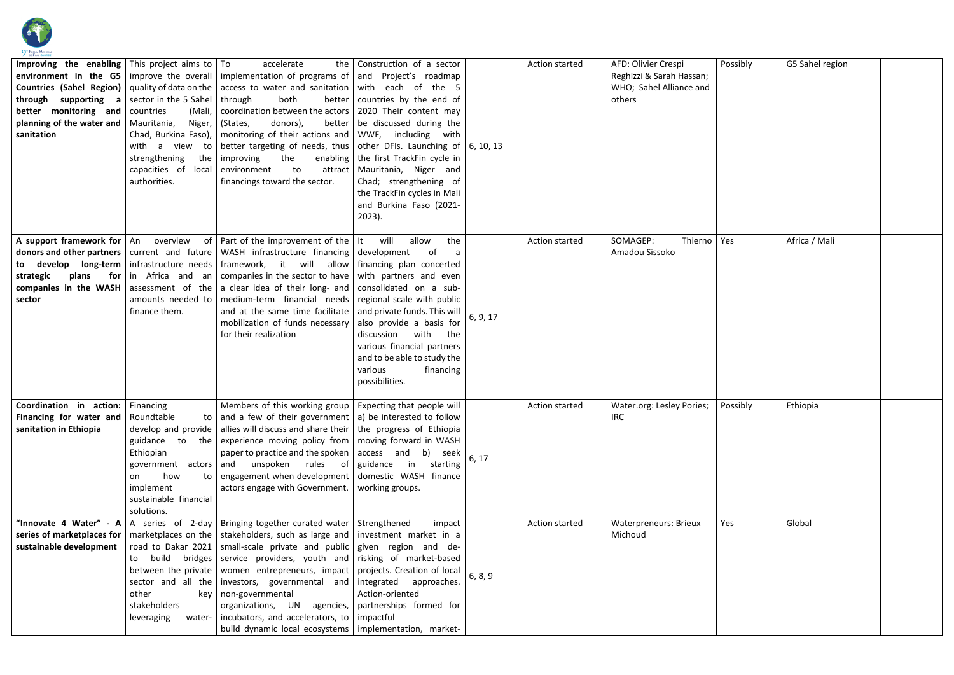

| <b>Improving the enabling</b> This project aims to $\overline{10}$<br>through supporting<br>a<br>better monitoring and<br>planning of the water and<br>sanitation | sector in the 5 Sahel   through<br>countries<br>(Mali,<br>Mauritania,<br>Niger,<br>Chad, Burkina Faso),<br>with a view to<br>strengthening<br>the<br>capacities of local<br>authorities. | accelerate<br>environment in the G5   improve the overall   implementation of programs of $ $ and Project's roadmap<br><b>Countries (Sahel Region)</b> quality of data on the access to water and sanitation with each of the 5<br>both<br>coordination between the actors<br>better<br>(States,<br>donors),<br>monitoring of their actions and<br>better targeting of needs, thus   other DFIs. Launching of $\vert$ 6, 10, 13<br>the<br>improving<br>to<br>attract<br>environment<br>financings toward the sector.                                                                                                                                                        | the Construction of a sector<br>better   countries by the end of<br>2020 Their content may<br>be discussed during the<br>WWF, including with<br>enabling   the first TrackFin cycle in<br>Mauritania, Niger and<br>Chad; strengthening of<br>the TrackFin cycles in Mali<br>and Burkina Faso (2021-<br>$2023$ ). |          | <b>Action started</b> | AFD: Olivier Crespi<br>Reghizzi & Sarah Hassan;<br>WHO; Sahel Alliance and<br>others | Possibly | G5 Sahel region |  |
|-------------------------------------------------------------------------------------------------------------------------------------------------------------------|------------------------------------------------------------------------------------------------------------------------------------------------------------------------------------------|-----------------------------------------------------------------------------------------------------------------------------------------------------------------------------------------------------------------------------------------------------------------------------------------------------------------------------------------------------------------------------------------------------------------------------------------------------------------------------------------------------------------------------------------------------------------------------------------------------------------------------------------------------------------------------|------------------------------------------------------------------------------------------------------------------------------------------------------------------------------------------------------------------------------------------------------------------------------------------------------------------|----------|-----------------------|--------------------------------------------------------------------------------------|----------|-----------------|--|
| to develop long-term infrastructure needs<br>strategic<br>plans<br>companies in the WASH  <br>sector                                                              | <b>for</b> in Africa and an<br>amounts needed to<br>finance them.                                                                                                                        | A support framework for $ $ An overview of Part of the improvement of the $ $ It will<br><b>donors and other partners</b> current and future WASH infrastructure financing development<br>framework, it will allow financing plan concerted<br>companies in the sector to have   with partners and even<br>assessment of the $ a $ clear idea of their long- and<br>medium-term financial needs regional scale with public<br>and at the same time facilitate<br>mobilization of funds necessary<br>for their realization                                                                                                                                                   | allow<br>the<br>0f<br>consolidated on a sub-<br>and private funds. This will<br>also provide a basis for<br>with<br>the<br>discussion<br>various financial partners<br>and to be able to study the<br>financing<br>various<br>possibilities.                                                                     | 6, 9, 17 | <b>Action started</b> | SOMAGEP:<br>Thierno<br>Amadou Sissoko                                                | Yes      | Africa / Mali   |  |
| <b>Coordination in action:</b> Financing<br>Financing for water and<br>sanitation in Ethiopia                                                                     | Roundtable<br>guidance to<br>Ethiopian<br>how<br>on<br>implement<br>sustainable financial<br>solutions.                                                                                  | Members of this working group $\vert$ Expecting that people will<br>to and a few of their government   a) be interested to follow<br>develop and provide   allies will discuss and share their   the progress of Ethiopia<br>the experience moving policy from $\vert$ moving forward in WASH<br>paper to practice and the spoken $ $ access and b) seek<br>government actors and unspoken rules of guidance in starting<br>to   engagement when development   domestic WASH finance<br>actors engage with Government.                                                                                                                                                      | working groups.                                                                                                                                                                                                                                                                                                  | 6, 17    | Action started        | Water.org: Lesley Pories;<br><b>IRC</b>                                              | Possibly | Ethiopia        |  |
| series of marketplaces for<br>sustainable development                                                                                                             | other<br>kev<br>stakeholders<br>leveraging<br>water-                                                                                                                                     | "Innovate 4 Water" - $A \mid A$ series of 2-day   Bringing together curated water   Strengthened<br>marketplaces on the   stakeholders, such as large and   investment market in a<br>road to Dakar 2021   small-scale private and public   given region and de-<br>to build bridges service providers, youth and risking of market-based<br>between the private   women entrepreneurs, impact   projects. Creation of local<br>sector and all the   investors, governmental and  <br>non-governmental<br>organizations, UN agencies, partnerships formed for<br>incubators, and accelerators, to $ $ impactful<br>build dynamic local ecosystems   implementation, market- | impact<br>integrated approaches.<br>Action-oriented                                                                                                                                                                                                                                                              | 6, 8, 9  | <b>Action started</b> | <b>Waterpreneurs: Brieux</b><br>Michoud                                              | Yes      | Global          |  |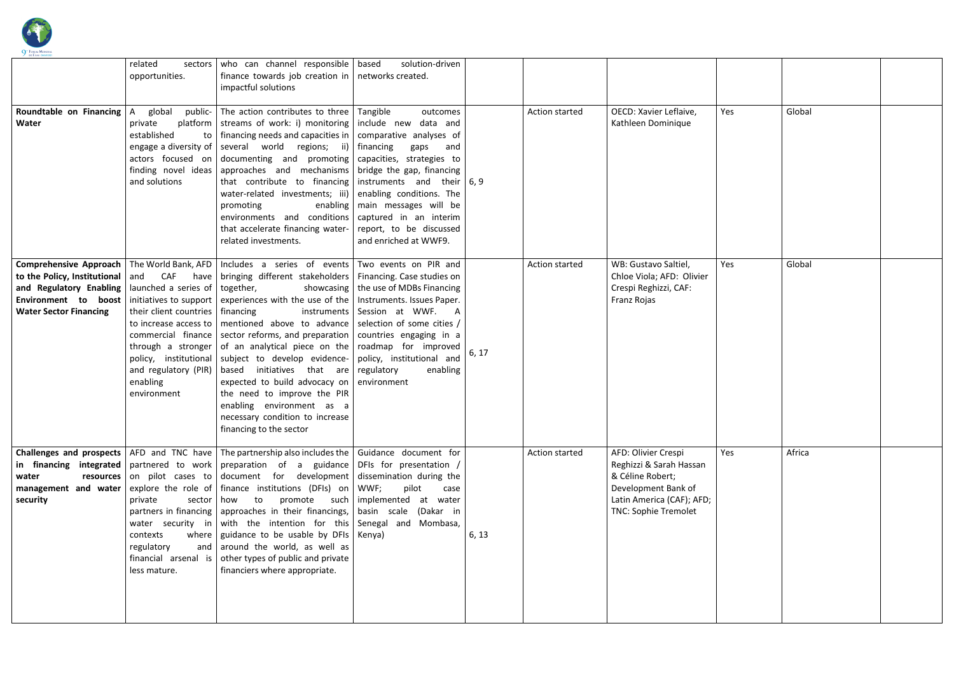

| DE L'EAU DAKAR 20<br>Roundtable on Financing<br>Water                                                                                                | related<br>sectors<br>opportunities.<br>global<br>public-<br>A<br>private<br>established<br>finding novel ideas<br>and solutions | who can channel responsible   based<br>finance towards job creation in $ $ networks created.<br>impactful solutions<br>The action contributes to three Tangible<br>platform streams of work: i) monitoring include new data and<br>to   financing needs and capacities in $\vert$ comparative analyses of<br>engage a diversity of $\vert$ several world regions; ii) $\vert$ financing<br>actors focused on documenting and promoting capacities, strategies to<br>  approaches and mechanisms   bridge the gap, financing<br>that contribute to financing instruments and their $\vert 6, 9 \rangle$<br>water-related investments; iii) enabling conditions. The<br>promoting<br>environments and conditions   captured in an interim<br>that accelerate financing water-<br>related investments.                      | solution-driven<br>outcomes<br>gaps<br>and<br>enabling   main messages will be<br>report, to be discussed<br>and enriched at WWF9. |       | <b>Action started</b> | OECD: Xavier Leflaive,<br>Kathleen Dominique                                                                                                          | Yes | Global |  |
|------------------------------------------------------------------------------------------------------------------------------------------------------|----------------------------------------------------------------------------------------------------------------------------------|--------------------------------------------------------------------------------------------------------------------------------------------------------------------------------------------------------------------------------------------------------------------------------------------------------------------------------------------------------------------------------------------------------------------------------------------------------------------------------------------------------------------------------------------------------------------------------------------------------------------------------------------------------------------------------------------------------------------------------------------------------------------------------------------------------------------------|------------------------------------------------------------------------------------------------------------------------------------|-------|-----------------------|-------------------------------------------------------------------------------------------------------------------------------------------------------|-----|--------|--|
| to the Policy, Institutional and CAF have<br>and Regulatory Enabling   launched a series of<br>Environment to boost<br><b>Water Sector Financing</b> | initiatives to support<br>their client countries $\vert$ financing<br>and regulatory (PIR)<br>enabling<br>environment            | <b>Comprehensive Approach</b> The World Bank, AFD   Includes a series of events   Two events on PIR and<br>  bringing different stakeholders   Financing. Case studies on<br>together,<br>experiences with the use of the   Instruments. Issues Paper.<br>to increase access to   mentioned above to advance   selection of some cities $\mu$<br>commercial finance sector reforms, and preparation $\vert$ countries engaging in a<br>through a stronger of an analytical piece on the roadmap for improved<br>policy, institutional subject to develop evidence- policy, institutional and<br>$\vert$ based initiatives that are regulatory<br>expected to build advocacy on $ $ environment<br>the need to improve the PIR<br>enabling environment as a<br>necessary condition to increase<br>financing to the sector | showcasing   the use of MDBs Financing<br>instruments Session at WWF. A<br>enabling                                                | 6, 17 | Action started        | WB: Gustavo Saltiel,<br>Chloe Viola; AFD: Olivier<br>Crespi Reghizzi, CAF:<br>Franz Rojas                                                             | Yes | Global |  |
| water<br>management and water<br>security                                                                                                            | private<br>contexts<br>regulatory<br>less mature.                                                                                | <b>Challenges and prospects</b>   AFD and TNC have   The partnership also includes the   Guidance document for<br>in financing integrated $ $ partnered to work preparation of a guidance DFIs for presentation<br><b>resources</b> on pilot cases to document for development dissemination during the<br>explore the role of finance institutions (DFIs) on $\sqrt{W}$ .<br>partners in financing   approaches in their financings, $\vert$ basin scale (Dakar in<br>water security in with the intention for this Senegal and Mombasa,<br>where $\vert$ guidance to be usable by DFIs $\vert$ Kenya)<br>and around the world, as well as<br>financial arsenal is $\vert$ other types of public and private<br>financiers where appropriate.                                                                           | pilot<br>case                                                                                                                      | 6, 13 | Action started        | AFD: Olivier Crespi<br>Reghizzi & Sarah Hassan<br>& Céline Robert;<br>Development Bank of<br>Latin America (CAF); AFD;<br><b>TNC: Sophie Tremolet</b> | Yes | Africa |  |